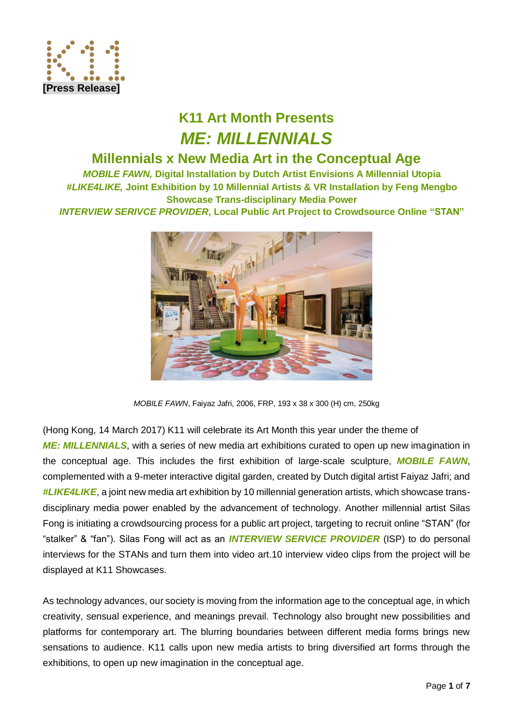

# **K11 Art Month Presents** *ME: MILLENNIALS*

## **Millennials x New Media Art in the Conceptual Age**

*MOBILE FAWN,* **Digital Installation by Dutch Artist Envisions A Millennial Utopia** *#LIKE4LIKE,* **Joint Exhibition by 10 Millennial Artists & VR Installation by Feng Mengbo Showcase Trans-disciplinary Media Power** *INTERVIEW SERIVCE PROVIDER***, Local Public Art Project to Crowdsource Online "STAN"**



*MOBILE FAWN*, Faiyaz Jafri, 2006, FRP, 193 x 38 x 300 (H) cm, 250kg

(Hong Kong, 14 March 2017) K11 will celebrate its Art Month this year under the theme of **ME: MILLENNIALS**, with a series of new media art exhibitions curated to open up new imagination in the conceptual age. This includes the first exhibition of large-scale sculpture, *MOBILE FAWN*, complemented with a 9-meter interactive digital garden, created by Dutch digital artist Faiyaz Jafri; and *#LIKE4LIKE*, a joint new media art exhibition by 10 millennial generation artists, which showcase transdisciplinary media power enabled by the advancement of technology. Another millennial artist Silas Fong is initiating a crowdsourcing process for a public art project, targeting to recruit online "STAN" (for "stalker" & "fan"). Silas Fong will act as an *INTERVIEW SERVICE PROVIDER* (ISP) to do personal interviews for the STANs and turn them into video art.10 interview video clips from the project will be displayed at K11 Showcases.

As technology advances, our society is moving from the information age to the conceptual age, in which creativity, sensual experience, and meanings prevail. Technology also brought new possibilities and platforms for contemporary art. The blurring boundaries between different media forms brings new sensations to audience. K11 calls upon new media artists to bring diversified art forms through the exhibitions, to open up new imagination in the conceptual age.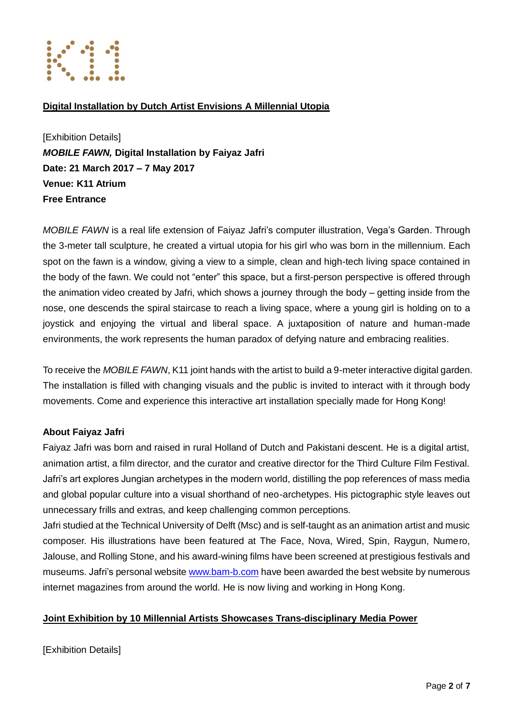

### **Digital Installation by Dutch Artist Envisions A Millennial Utopia**

[Exhibition Details] *MOBILE FAWN,* **Digital Installation by Faiyaz Jafri Date: 21 March 2017 – 7 May 2017 Venue: K11 Atrium Free Entrance**

*MOBILE FAWN* is a real life extension of Faiyaz Jafri's computer illustration, Vega's Garden. Through the 3-meter tall sculpture, he created a virtual utopia for his girl who was born in the millennium. Each spot on the fawn is a window, giving a view to a simple, clean and high-tech living space contained in the body of the fawn. We could not "enter" this space, but a first-person perspective is offered through the animation video created by Jafri, which shows a journey through the body – getting inside from the nose, one descends the spiral staircase to reach a living space, where a young girl is holding on to a joystick and enjoying the virtual and liberal space. A juxtaposition of nature and human-made environments, the work represents the human paradox of defying nature and embracing realities.

To receive the *MOBILE FAWN*, K11 joint hands with the artist to build a 9-meter interactive digital garden. The installation is filled with changing visuals and the public is invited to interact with it through body movements. Come and experience this interactive art installation specially made for Hong Kong!

### **About Faiyaz Jafri**

Faiyaz Jafri was born and raised in rural Holland of Dutch and Pakistani descent. He is a digital artist, animation artist, a film director, and the curator and creative director for the Third Culture Film Festival. Jafri's art explores Jungian archetypes in the modern world, distilling the pop references of mass media and global popular culture into a visual shorthand of neo-archetypes. His pictographic style leaves out unnecessary frills and extras, and keep challenging common perceptions.

Jafri studied at the Technical University of Delft (Msc) and is self-taught as an animation artist and music composer. His illustrations have been featured at The Face, Nova, Wired, Spin, Raygun, Numero, Jalouse, and Rolling Stone, and his award-wining films have been screened at prestigious festivals and museums. Jafri's personal website [www.bam-b.com](http://www.bam-b.com/) have been awarded the best website by numerous internet magazines from around the world. He is now living and working in Hong Kong.

### **Joint Exhibition by 10 Millennial Artists Showcases Trans-disciplinary Media Power**

[Exhibition Details]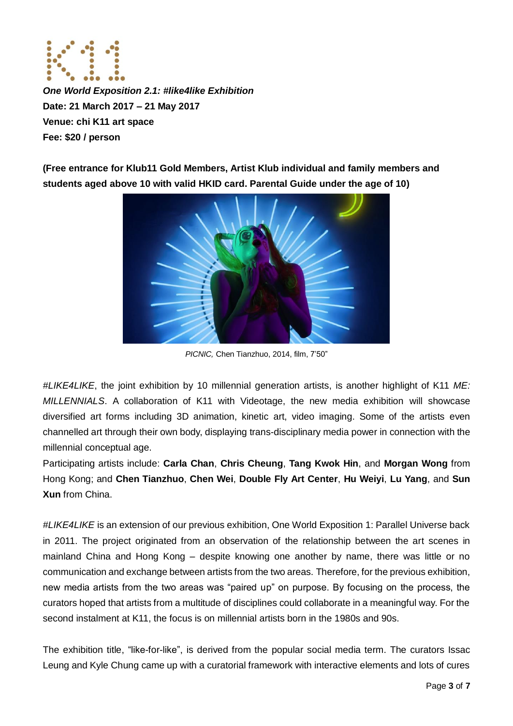

*One World Exposition 2.1: #like4like Exhibition* **Date: 21 March 2017 – 21 May 2017 Venue: chi K11 art space Fee: \$20 / person** 

**(Free entrance for Klub11 Gold Members, Artist Klub individual and family members and students aged above 10 with valid HKID card. Parental Guide under the age of 10)**



*PICNIC,* Chen Tianzhuo, 2014, film, 7'50"

*#LIKE4LIKE*, the joint exhibition by 10 millennial generation artists, is another highlight of K11 *ME: MILLENNIALS*. A collaboration of K11 with Videotage, the new media exhibition will showcase diversified art forms including 3D animation, kinetic art, video imaging. Some of the artists even channelled art through their own body, displaying trans-disciplinary media power in connection with the millennial conceptual age.

Participating artists include: **Carla Chan**, **Chris Cheung**, **Tang Kwok Hin**, and **Morgan Wong** from Hong Kong; and **Chen Tianzhuo**, **Chen Wei**, **Double Fly Art Center**, **Hu Weiyi**, **Lu Yang**, and **Sun Xun** from China.

*#LIKE4LIKE* is an extension of our previous exhibition, One World Exposition 1: Parallel Universe back in 2011. The project originated from an observation of the relationship between the art scenes in mainland China and Hong Kong – despite knowing one another by name, there was little or no communication and exchange between artists from the two areas. Therefore, for the previous exhibition, new media artists from the two areas was "paired up" on purpose. By focusing on the process, the curators hoped that artists from a multitude of disciplines could collaborate in a meaningful way. For the second instalment at K11, the focus is on millennial artists born in the 1980s and 90s.

The exhibition title, "like-for-like", is derived from the popular social media term. The curators Issac Leung and Kyle Chung came up with a curatorial framework with interactive elements and lots of cures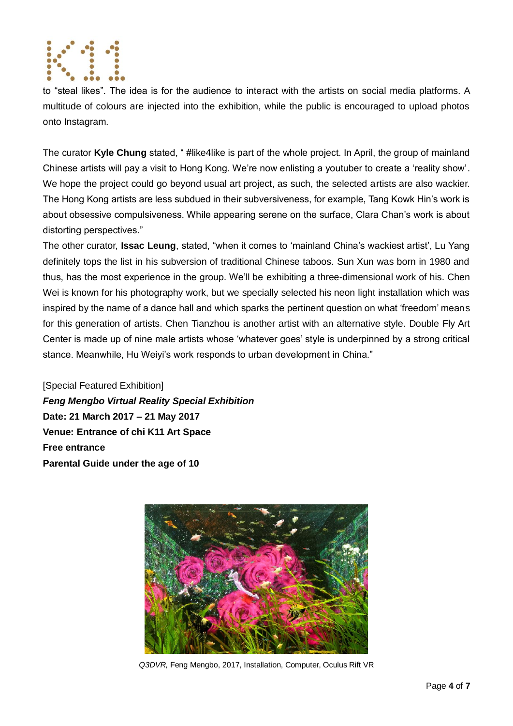

to "steal likes". The idea is for the audience to interact with the artists on social media platforms. A multitude of colours are injected into the exhibition, while the public is encouraged to upload photos onto Instagram.

The curator **Kyle Chung** stated, " #like4like is part of the whole project. In April, the group of mainland Chinese artists will pay a visit to Hong Kong. We're now enlisting a youtuber to create a 'reality show'. We hope the project could go beyond usual art project, as such, the selected artists are also wackier. The Hong Kong artists are less subdued in their subversiveness, for example, Tang Kowk Hin's work is about obsessive compulsiveness. While appearing serene on the surface, Clara Chan's work is about distorting perspectives."

The other curator, **Issac Leung**, stated, "when it comes to 'mainland China's wackiest artist', Lu Yang definitely tops the list in his subversion of traditional Chinese taboos. Sun Xun was born in 1980 and thus, has the most experience in the group. We'll be exhibiting a three-dimensional work of his. Chen Wei is known for his photography work, but we specially selected his neon light installation which was inspired by the name of a dance hall and which sparks the pertinent question on what 'freedom' means for this generation of artists. Chen Tianzhou is another artist with an alternative style. Double Fly Art Center is made up of nine male artists whose 'whatever goes' style is underpinned by a strong critical stance. Meanwhile, Hu Weiyi's work responds to urban development in China."

[Special Featured Exhibition] *Feng Mengbo Virtual Reality Special Exhibition* **Date: 21 March 2017 – 21 May 2017 Venue: Entrance of chi K11 Art Space Free entrance Parental Guide under the age of 10**



*Q3DVR,* Feng Mengbo, 2017, Installation, Computer, Oculus Rift VR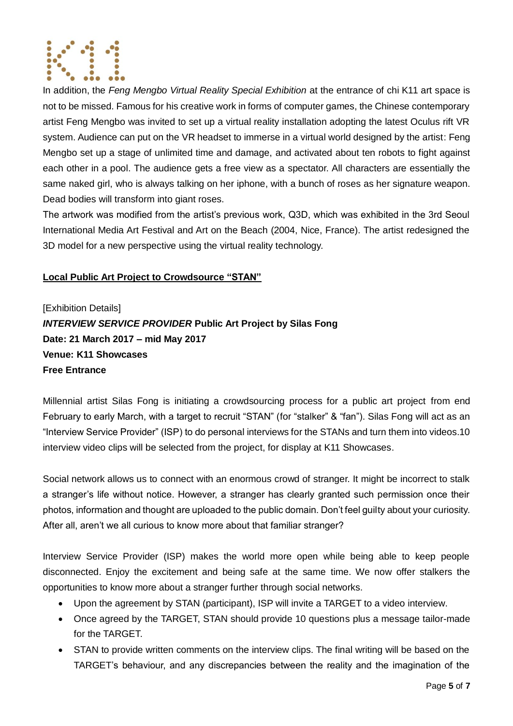

In addition, the *Feng Mengbo Virtual Reality Special Exhibition* at the entrance of chi K11 art space is not to be missed. Famous for his creative work in forms of computer games, the Chinese contemporary artist Feng Mengbo was invited to set up a virtual reality installation adopting the latest Oculus rift VR system. Audience can put on the VR headset to immerse in a virtual world designed by the artist: Feng Mengbo set up a stage of unlimited time and damage, and activated about ten robots to fight against each other in a pool. The audience gets a free view as a spectator. All characters are essentially the same naked girl, who is always talking on her iphone, with a bunch of roses as her signature weapon. Dead bodies will transform into giant roses.

The artwork was modified from the artist's previous work, Q3D, which was exhibited in the 3rd Seoul International Media Art Festival and Art on the Beach (2004, Nice, France). The artist redesigned the 3D model for a new perspective using the virtual reality technology.

### **Local Public Art Project to Crowdsource "STAN"**

[Exhibition Details]

*INTERVIEW SERVICE PROVIDER* **Public Art Project by Silas Fong Date: 21 March 2017 – mid May 2017 Venue: K11 Showcases Free Entrance**

Millennial artist Silas Fong is initiating a crowdsourcing process for a public art project from end February to early March, with a target to recruit "STAN" (for "stalker" & "fan"). Silas Fong will act as an "Interview Service Provider" (ISP) to do personal interviews for the STANs and turn them into videos.10 interview video clips will be selected from the project, for display at K11 Showcases.

Social network allows us to connect with an enormous crowd of stranger. It might be incorrect to stalk a stranger's life without notice. However, a stranger has clearly granted such permission once their photos, information and thought are uploaded to the public domain. Don't feel guilty about your curiosity. After all, aren't we all curious to know more about that familiar stranger?

Interview Service Provider (ISP) makes the world more open while being able to keep people disconnected. Enjoy the excitement and being safe at the same time. We now offer stalkers the opportunities to know more about a stranger further through social networks.

- Upon the agreement by STAN (participant), ISP will invite a TARGET to a video interview.
- Once agreed by the TARGET, STAN should provide 10 questions plus a message tailor-made for the TARGET.
- STAN to provide written comments on the interview clips. The final writing will be based on the TARGET's behaviour, and any discrepancies between the reality and the imagination of the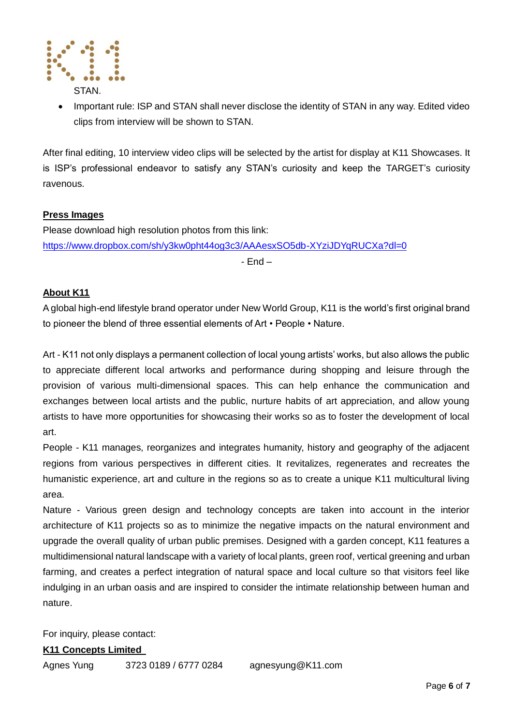

 Important rule: ISP and STAN shall never disclose the identity of STAN in any way. Edited video clips from interview will be shown to STAN.

After final editing, 10 interview video clips will be selected by the artist for display at K11 Showcases. It is ISP's professional endeavor to satisfy any STAN's curiosity and keep the TARGET's curiosity ravenous.

#### **Press Images**

Please download high resolution photos from this link: <https://www.dropbox.com/sh/y3kw0pht44og3c3/AAAesxSO5db-XYziJDYqRUCXa?dl=0>

- End –

### **About K11**

A global high-end lifestyle brand operator under New World Group, K11 is the world's first original brand to pioneer the blend of three essential elements of Art • People • Nature.

Art - K11 not only displays a permanent collection of local young artists' works, but also allows the public to appreciate different local artworks and performance during shopping and leisure through the provision of various multi-dimensional spaces. This can help enhance the communication and exchanges between local artists and the public, nurture habits of art appreciation, and allow young artists to have more opportunities for showcasing their works so as to foster the development of local art.

People - K11 manages, reorganizes and integrates humanity, history and geography of the adjacent regions from various perspectives in different cities. It revitalizes, regenerates and recreates the humanistic experience, art and culture in the regions so as to create a unique K11 multicultural living area.

Nature - Various green design and technology concepts are taken into account in the interior architecture of K11 projects so as to minimize the negative impacts on the natural environment and upgrade the overall quality of urban public premises. Designed with a garden concept, K11 features a multidimensional natural landscape with a variety of local plants, green roof, vertical greening and urban farming, and creates a perfect integration of natural space and local culture so that visitors feel like indulging in an urban oasis and are inspired to consider the intimate relationship between human and nature.

For inquiry, please contact:

#### **K11 Concepts Limited**

Agnes Yung 3723 0189 / 6777 0284 agnesyung@K11.com